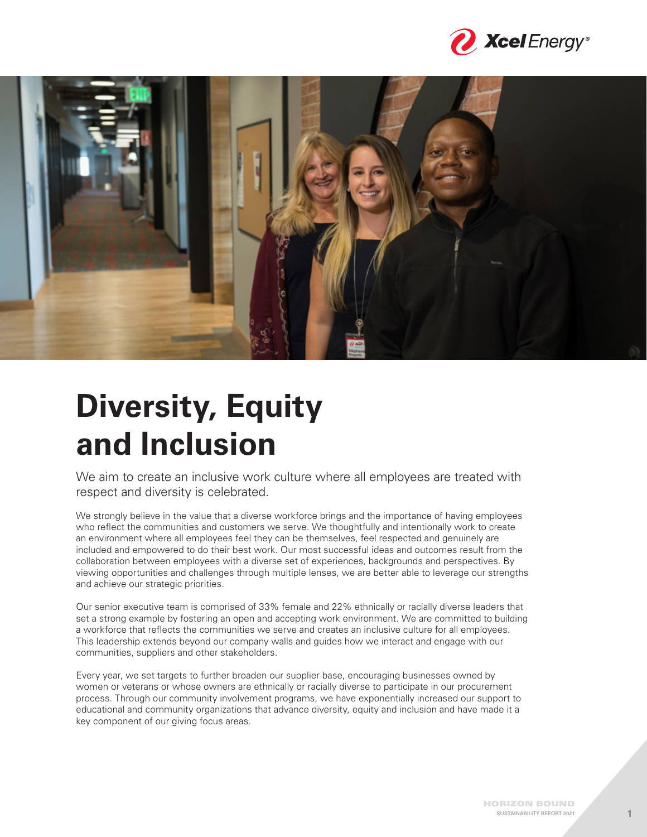



# **Diversity, Equity and Inclusion**

We aim to create an inclusive work culture where all employees are treated with respect and diversity is celebrated.

We strongly believe in the value that a diverse workforce brings and the importance of having employees who reflect the communities and customers we serve. We thoughtfully and intentionally work to create an environment where all employees feel they can be themselves, feel respected and genuinely are included and empowered to do their best work. Our most successful ideas and outcomes result from the collaboration between employees with a diverse set of experiences, backgrounds and perspectives. By viewing opportunities and challenges through multiple lenses, we are better able to leverage our strengths and achieve our strategic priorities.

Our senior executive team is comprised of 33% female and 22% ethnically or racially diverse leaders that set a strong example by fostering an open and accepting work environment. We are committed to building a workforce that reflects the communities we serve and creates an inclusive culture for all employees. This leadership extends beyond our company walls and guides how we interact and engage with our communities, suppliers and other stakeholders.

Every year, we set targets to further broaden our supplier base, encouraging businesses owned by women or veterans or whose owners are ethnically or racially diverse to participate in our procurement process. Through our community involvement programs, we have exponentially increased our support to educational and community organizations that advance diversity, equity and inclusion and have made it a key component of our giving focus areas.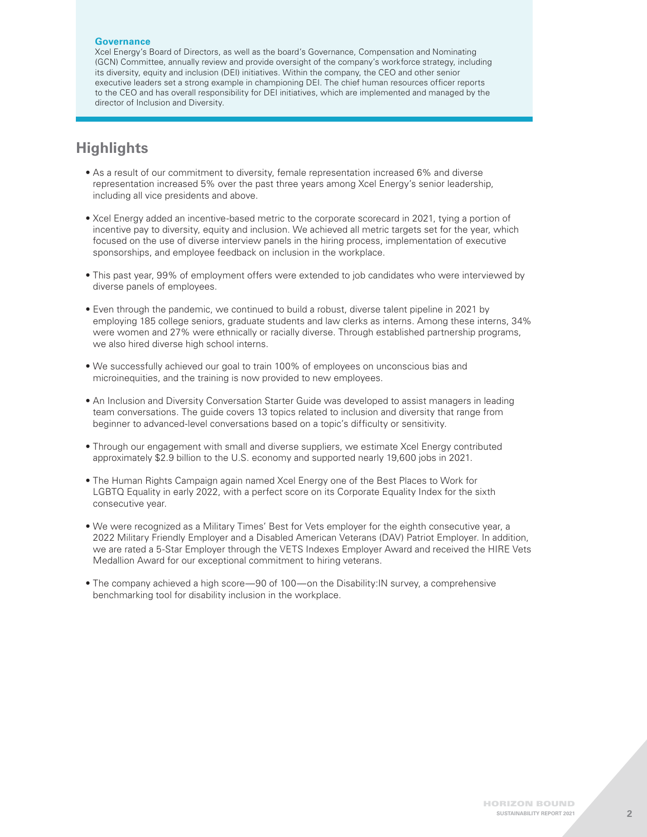#### **Governance**

Xcel Energy's Board of Directors, as well as the board's Governance, Compensation and Nominating (GCN) Committee, annually review and provide oversight of the company's workforce strategy, including its diversity, equity and inclusion (DEI) initiatives. Within the company, the CEO and other senior executive leaders set a strong example in championing DEI. The chief human resources officer reports to the CEO and has overall responsibility for DEI initiatives, which are implemented and managed by the director of Inclusion and Diversity.

# **Highlights**

- As a result of our commitment to diversity, female representation increased 6% and diverse representation increased 5% over the past three years among Xcel Energy's senior leadership, including all vice presidents and above.
- Xcel Energy added an incentive-based metric to the corporate scorecard in 2021, tying a portion of incentive pay to diversity, equity and inclusion. We achieved all metric targets set for the year, which focused on the use of diverse interview panels in the hiring process, implementation of executive sponsorships, and employee feedback on inclusion in the workplace.
- This past year, 99% of employment offers were extended to job candidates who were interviewed by diverse panels of employees.
- Even through the pandemic, we continued to build a robust, diverse talent pipeline in 2021 by employing 185 college seniors, graduate students and law clerks as interns. Among these interns, 34% were women and 27% were ethnically or racially diverse. Through established partnership programs, we also hired diverse high school interns.
- We successfully achieved our goal to train 100% of employees on unconscious bias and microinequities, and the training is now provided to new employees.
- An Inclusion and Diversity Conversation Starter Guide was developed to assist managers in leading team conversations. The guide covers 13 topics related to inclusion and diversity that range from beginner to advanced-level conversations based on a topic's difficulty or sensitivity.
- Through our engagement with small and diverse suppliers, we estimate Xcel Energy contributed approximately \$2.9 billion to the U.S. economy and supported nearly 19,600 jobs in 2021.
- The Human Rights Campaign again named Xcel Energy one of the Best Places to Work for LGBTQ Equality in early 2022, with a perfect score on its Corporate Equality Index for the sixth consecutive year.
- We were recognized as a Military Times' Best for Vets employer for the eighth consecutive year, a 2022 Military Friendly Employer and a Disabled American Veterans (DAV) Patriot Employer. In addition, we are rated a 5-Star Employer through the VETS Indexes Employer Award and received the HIRE Vets Medallion Award for our exceptional commitment to hiring veterans.
- The company achieved a high score—90 of 100—on the Disability: IN survey, a comprehensive benchmarking tool for disability inclusion in the workplace.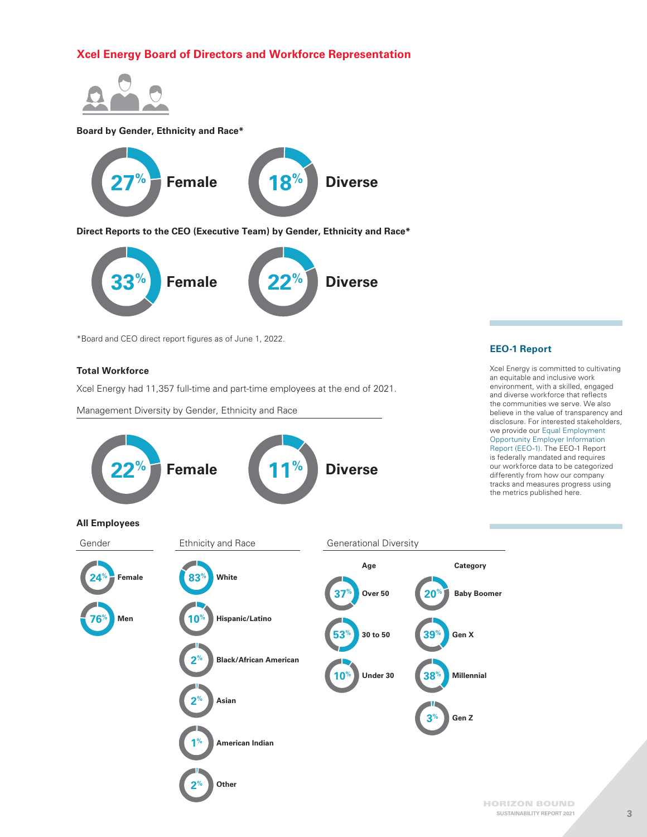# **Xcel Energy Board of Directors and Workforce Representation**



#### **Board by Gender, Ethnicity and Race\***



**Direct Reports to the CEO (Executive Team) by Gender, Ethnicity and Race\***



\*Board and CEO direct report figures as of June 1, 2022.

#### **Total Workforce**

Xcel Energy had 11,357 full-time and part-time employees at the end of 2021.

Management Diversity by Gender, Ethnicity and Race



# **EEO-1 Report**

Xcel Energy is committed to cultivating an equitable and inclusive work environment, with a skilled, engaged and diverse workforce that reflects the communities we serve. We also believe in the value of transparency and disclosure. For interested stakeholders, we provide our [Equal Employment](https://www.xcelenergy.com/staticfiles/xe-responsive/Company/Sustainability%20Report/2021%20SR/EEO-1-Employer-Information-Report.pdf)  [Opportunity Employer Information](https://www.xcelenergy.com/staticfiles/xe-responsive/Company/Sustainability%20Report/2021%20SR/EEO-1-Employer-Information-Report.pdf)  [Report \(EEO-1\).](https://www.xcelenergy.com/staticfiles/xe-responsive/Company/Sustainability%20Report/2021%20SR/EEO-1-Employer-Information-Report.pdf) The EEO-1 Report is federally mandated and requires our workforce data to be categorized differently from how our company tracks and measures progress using the metrics published here.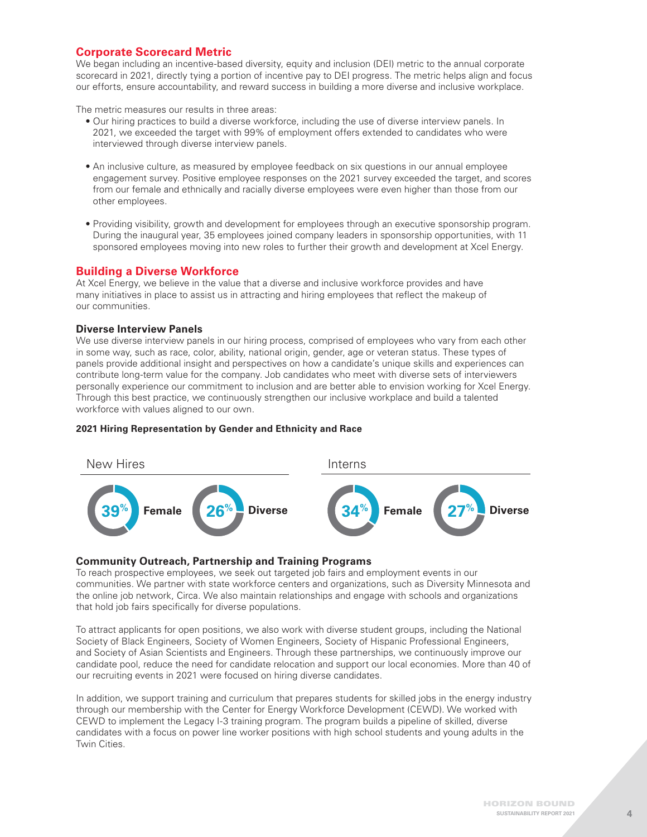# **Corporate Scorecard Metric**

We began including an incentive-based diversity, equity and inclusion (DEI) metric to the annual corporate scorecard in 2021, directly tying a portion of incentive pay to DEI progress. The metric helps align and focus our efforts, ensure accountability, and reward success in building a more diverse and inclusive workplace.

The metric measures our results in three areas:

- Our hiring practices to build a diverse workforce, including the use of diverse interview panels. In 2021, we exceeded the target with 99% of employment offers extended to candidates who were interviewed through diverse interview panels.
- An inclusive culture, as measured by employee feedback on six questions in our annual employee engagement survey. Positive employee responses on the 2021 survey exceeded the target, and scores from our female and ethnically and racially diverse employees were even higher than those from our other employees.
- Providing visibility, growth and development for employees through an executive sponsorship program. During the inaugural year, 35 employees joined company leaders in sponsorship opportunities, with 11 sponsored employees moving into new roles to further their growth and development at Xcel Energy.

# **Building a Diverse Workforce**

At Xcel Energy, we believe in the value that a diverse and inclusive workforce provides and have many initiatives in place to assist us in attracting and hiring employees that reflect the makeup of our communities.

# **Diverse Interview Panels**

We use diverse interview panels in our hiring process, comprised of employees who vary from each other in some way, such as race, color, ability, national origin, gender, age or veteran status. These types of panels provide additional insight and perspectives on how a candidate's unique skills and experiences can contribute long-term value for the company. Job candidates who meet with diverse sets of interviewers personally experience our commitment to inclusion and are better able to envision working for Xcel Energy. Through this best practice, we continuously strengthen our inclusive workplace and build a talented workforce with values aligned to our own.



#### **2021 Hiring Representation by Gender and Ethnicity and Race**

# **Community Outreach, Partnership and Training Programs**

To reach prospective employees, we seek out targeted job fairs and employment events in our communities. We partner with state workforce centers and organizations, such as Diversity Minnesota and the online job network, Circa. We also maintain relationships and engage with schools and organizations that hold job fairs specifically for diverse populations.

To attract applicants for open positions, we also work with diverse student groups, including the National Society of Black Engineers, Society of Women Engineers, Society of Hispanic Professional Engineers, and Society of Asian Scientists and Engineers. Through these partnerships, we continuously improve our candidate pool, reduce the need for candidate relocation and support our local economies. More than 40 of our recruiting events in 2021 were focused on hiring diverse candidates.

In addition, we support training and curriculum that prepares students for skilled jobs in the energy industry through our membership with the Center for Energy Workforce Development (CEWD). We worked with CEWD to implement the Legacy I-3 training program. The program builds a pipeline of skilled, diverse candidates with a focus on power line worker positions with high school students and young adults in the Twin Cities.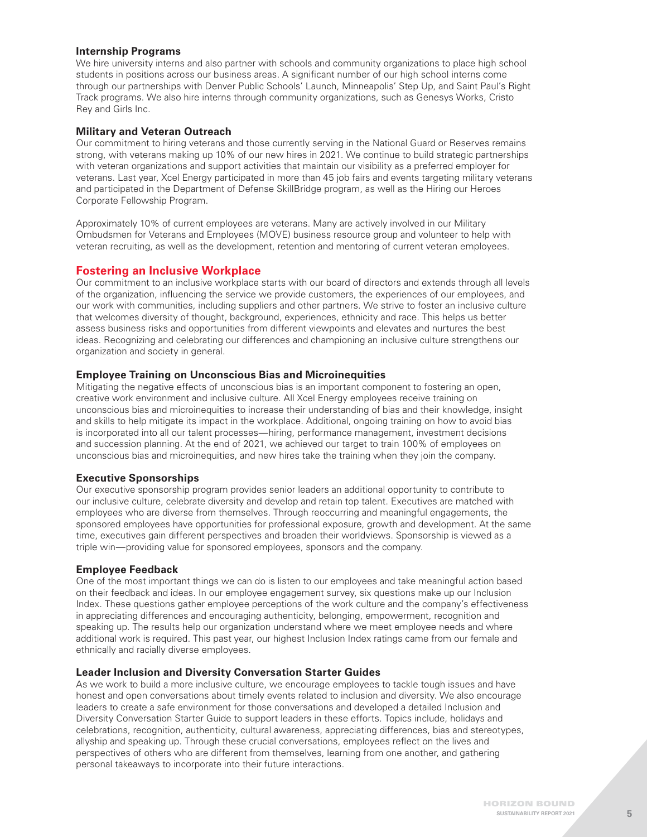# **Internship Programs**

We hire university interns and also partner with schools and community organizations to place high school students in positions across our business areas. A significant number of our high school interns come through our partnerships with Denver Public Schools' Launch, Minneapolis' Step Up, and Saint Paul's Right Track programs. We also hire interns through community organizations, such as Genesys Works, Cristo Rey and Girls Inc.

# **Military and Veteran Outreach**

Our commitment to hiring veterans and those currently serving in the National Guard or Reserves remains strong, with veterans making up 10% of our new hires in 2021. We continue to build strategic partnerships with veteran organizations and support activities that maintain our visibility as a preferred employer for veterans. Last year, Xcel Energy participated in more than 45 job fairs and events targeting military veterans and participated in the Department of Defense SkillBridge program, as well as the Hiring our Heroes Corporate Fellowship Program.

Approximately 10% of current employees are veterans. Many are actively involved in our Military Ombudsmen for Veterans and Employees (MOVE) business resource group and volunteer to help with veteran recruiting, as well as the development, retention and mentoring of current veteran employees.

# **Fostering an Inclusive Workplace**

Our commitment to an inclusive workplace starts with our board of directors and extends through all levels of the organization, influencing the service we provide customers, the experiences of our employees, and our work with communities, including suppliers and other partners. We strive to foster an inclusive culture that welcomes diversity of thought, background, experiences, ethnicity and race. This helps us better assess business risks and opportunities from different viewpoints and elevates and nurtures the best ideas. Recognizing and celebrating our differences and championing an inclusive culture strengthens our organization and society in general.

# **Employee Training on Unconscious Bias and Microinequities**

Mitigating the negative effects of unconscious bias is an important component to fostering an open, creative work environment and inclusive culture. All Xcel Energy employees receive training on unconscious bias and microinequities to increase their understanding of bias and their knowledge, insight and skills to help mitigate its impact in the workplace. Additional, ongoing training on how to avoid bias is incorporated into all our talent processes—hiring, performance management, investment decisions and succession planning. At the end of 2021, we achieved our target to train 100% of employees on unconscious bias and microinequities, and new hires take the training when they join the company.

# **Executive Sponsorships**

Our executive sponsorship program provides senior leaders an additional opportunity to contribute to our inclusive culture, celebrate diversity and develop and retain top talent. Executives are matched with employees who are diverse from themselves. Through reoccurring and meaningful engagements, the sponsored employees have opportunities for professional exposure, growth and development. At the same time, executives gain different perspectives and broaden their worldviews. Sponsorship is viewed as a triple win—providing value for sponsored employees, sponsors and the company.

# **Employee Feedback**

One of the most important things we can do is listen to our employees and take meaningful action based on their feedback and ideas. In our employee engagement survey, six questions make up our Inclusion Index. These questions gather employee perceptions of the work culture and the company's effectiveness in appreciating differences and encouraging authenticity, belonging, empowerment, recognition and speaking up. The results help our organization understand where we meet employee needs and where additional work is required. This past year, our highest Inclusion Index ratings came from our female and ethnically and racially diverse employees.

#### **Leader Inclusion and Diversity Conversation Starter Guides**

As we work to build a more inclusive culture, we encourage employees to tackle tough issues and have honest and open conversations about timely events related to inclusion and diversity. We also encourage leaders to create a safe environment for those conversations and developed a detailed Inclusion and Diversity Conversation Starter Guide to support leaders in these efforts. Topics include, holidays and celebrations, recognition, authenticity, cultural awareness, appreciating differences, bias and stereotypes, allyship and speaking up. Through these crucial conversations, employees reflect on the lives and perspectives of others who are different from themselves, learning from one another, and gathering personal takeaways to incorporate into their future interactions.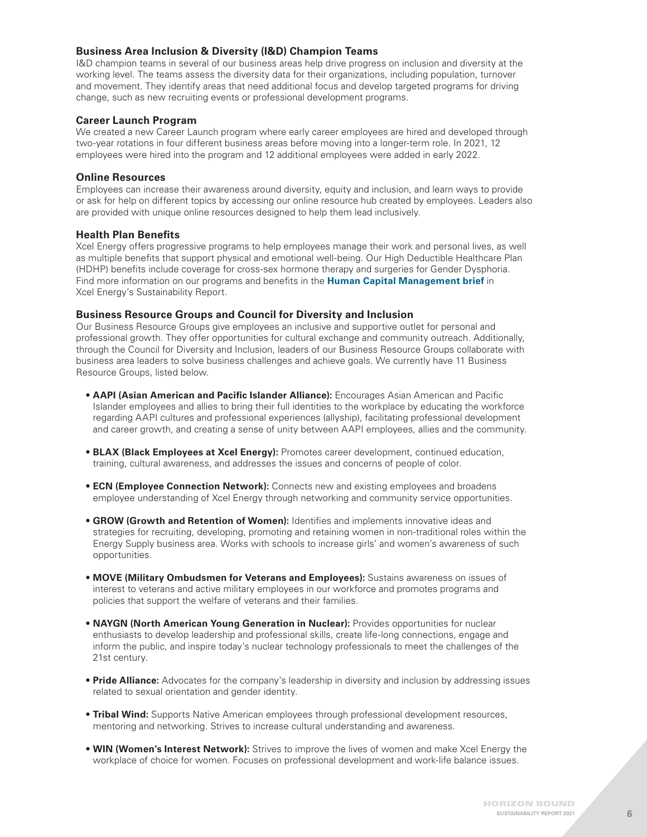# **Business Area Inclusion & Diversity (I&D) Champion Teams**

I&D champion teams in several of our business areas help drive progress on inclusion and diversity at the working level. The teams assess the diversity data for their organizations, including population, turnover and movement. They identify areas that need additional focus and develop targeted programs for driving change, such as new recruiting events or professional development programs.

#### **Career Launch Program**

We created a new Career Launch program where early career employees are hired and developed through two-year rotations in four different business areas before moving into a longer-term role. In 2021, 12 employees were hired into the program and 12 additional employees were added in early 2022.

#### **Online Resources**

Employees can increase their awareness around diversity, equity and inclusion, and learn ways to provide or ask for help on different topics by accessing our online resource hub created by employees. Leaders also are provided with unique online resources designed to help them lead inclusively.

#### **Health Plan Benefits**

Xcel Energy offers progressive programs to help employees manage their work and personal lives, as well as multiple benefits that support physical and emotional well-being. Our High Deductible Healthcare Plan (HDHP) benefits include coverage for cross-sex hormone therapy and surgeries for Gender Dysphoria. Find more information on our programs and benefits in the **[Human Capital Management brief](https://www.xcelenergy.com/staticfiles/xe-responsive/Company/Sustainability Report/2021 SR/2021-Human-Capital-Management-SR.pdf)** in Xcel Energy's Sustainability Report.

#### **Business Resource Groups and Council for Diversity and Inclusion**

Our Business Resource Groups give employees an inclusive and supportive outlet for personal and professional growth. They offer opportunities for cultural exchange and community outreach. Additionally, through the Council for Diversity and Inclusion, leaders of our Business Resource Groups collaborate with business area leaders to solve business challenges and achieve goals. We currently have 11 Business Resource Groups, listed below.

- **AAPI (Asian American and Pacific Islander Alliance):** Encourages Asian American and Pacific Islander employees and allies to bring their full identities to the workplace by educating the workforce regarding AAPI cultures and professional experiences (allyship), facilitating professional development and career growth, and creating a sense of unity between AAPI employees, allies and the community.
- **BLAX (Black Employees at Xcel Energy):** Promotes career development, continued education, training, cultural awareness, and addresses the issues and concerns of people of color.
- **ECN (Employee Connection Network):** Connects new and existing employees and broadens employee understanding of Xcel Energy through networking and community service opportunities.
- **GROW (Growth and Retention of Women):** Identifies and implements innovative ideas and strategies for recruiting, developing, promoting and retaining women in non-traditional roles within the Energy Supply business area. Works with schools to increase girls' and women's awareness of such opportunities.
- **MOVE (Military Ombudsmen for Veterans and Employees):** Sustains awareness on issues of interest to veterans and active military employees in our workforce and promotes programs and policies that support the welfare of veterans and their families.
- **NAYGN (North American Young Generation in Nuclear):** Provides opportunities for nuclear enthusiasts to develop leadership and professional skills, create life-long connections, engage and inform the public, and inspire today's nuclear technology professionals to meet the challenges of the 21st century.
- **Pride Alliance:** Advocates for the company's leadership in diversity and inclusion by addressing issues related to sexual orientation and gender identity.
- **Tribal Wind:** Supports Native American employees through professional development resources, mentoring and networking. Strives to increase cultural understanding and awareness.
- **WIN (Women's Interest Network):** Strives to improve the lives of women and make Xcel Energy the workplace of choice for women. Focuses on professional development and work-life balance issues.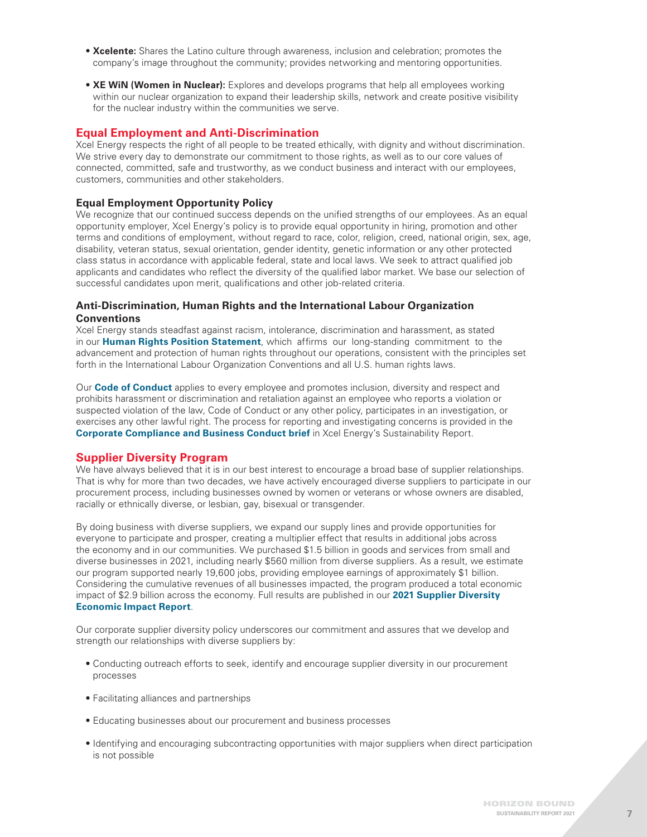- **Xcelente:** Shares the Latino culture through awareness, inclusion and celebration; promotes the company's image throughout the community; provides networking and mentoring opportunities.
- **XE WiN (Women in Nuclear):** Explores and develops programs that help all employees working within our nuclear organization to expand their leadership skills, network and create positive visibility for the nuclear industry within the communities we serve.

# **Equal Employment and Anti-Discrimination**

Xcel Energy respects the right of all people to be treated ethically, with dignity and without discrimination. We strive every day to demonstrate our commitment to those rights, as well as to our core values of connected, committed, safe and trustworthy, as we conduct business and interact with our employees, customers, communities and other stakeholders.

# **Equal Employment Opportunity Policy**

We recognize that our continued success depends on the unified strengths of our employees. As an equal opportunity employer, Xcel Energy's policy is to provide equal opportunity in hiring, promotion and other terms and conditions of employment, without regard to race, color, religion, creed, national origin, sex, age, disability, veteran status, sexual orientation, gender identity, genetic information or any other protected class status in accordance with applicable federal, state and local laws. We seek to attract qualified job applicants and candidates who reflect the diversity of the qualified labor market. We base our selection of successful candidates upon merit, qualifications and other job-related criteria.

# **Anti-Discrimination, Human Rights and the International Labour Organization Conventions**

Xcel Energy stands steadfast against racism, intolerance, discrimination and harassment, as stated in our **[Human Rights Position Statement](https://www.xcelenergy.com/staticfiles/xe-responsive/Company/XE-Position-Statement-Human-Rights-2020.pdf#%3A%7E%3Atext%3DPosition%20Statement%20Human%20Rights%20Introduction%20Xcel%20Energy%20respects%2Cas%20we%20conduct%20business%20and%20interact%20with%20our)**, which affirms our long-standing commitment to the advancement and protection of human rights throughout our operations, consistent with the principles set forth in the International Labour Organization Conventions and all U.S. human rights laws.

Our **[Code of Conduct](http://xpressnet.xcelenergy.com/staticfiles/xn/Corporate Services/Corporate Compliance/Policies/3.1.pdf)** applies to every employee and promotes inclusion, diversity and respect and prohibits harassment or discrimination and retaliation against an employee who reports a violation or suspected violation of the law, Code of Conduct or any other policy, participates in an investigation, or exercises any other lawful right. The process for reporting and investigating concerns is provided in the **[Corporate Compliance and Business Conduct brief](https://www.xcelenergy.com/staticfiles/xe-responsive/Company/Sustainability Report/2021 SR/2021-Corporate-Compliance-and-Business-Conduct-SR.pdf)** in Xcel Energy's Sustainability Report.

# **Supplier Diversity Program**

We have always believed that it is in our best interest to encourage a broad base of supplier relationships. That is why for more than two decades, we have actively encouraged diverse suppliers to participate in our procurement process, including businesses owned by women or veterans or whose owners are disabled, racially or ethnically diverse, or lesbian, gay, bisexual or transgender.

By doing business with diverse suppliers, we expand our supply lines and provide opportunities for everyone to participate and prosper, creating a multiplier effect that results in additional jobs across the economy and in our communities. We purchased \$1.5 billion in goods and services from small and diverse businesses in 2021, including nearly \$560 million from diverse suppliers. As a result, we estimate our program supported nearly 19,600 jobs, providing employee earnings of approximately \$1 billion. Considering the cumulative revenues of all businesses impacted, the program produced a total economic impact of \$2.9 billion across the economy. Full results are published in our **[2021 Supplier Diversity](https://www.xcelenergy.com/staticfiles/xe-responsive/Working%20With%20Us/Suppliers/22-03-308%202021%20Economic%20Impact%20Report_2.pdf)  [Economic Impact Report](https://www.xcelenergy.com/staticfiles/xe-responsive/Working%20With%20Us/Suppliers/22-03-308%202021%20Economic%20Impact%20Report_2.pdf)**.

Our corporate supplier diversity policy underscores our commitment and assures that we develop and strength our relationships with diverse suppliers by:

- Conducting outreach efforts to seek, identify and encourage supplier diversity in our procurement processes
- Facilitating alliances and partnerships
- Educating businesses about our procurement and business processes
- Identifying and encouraging subcontracting opportunities with major suppliers when direct participation is not possible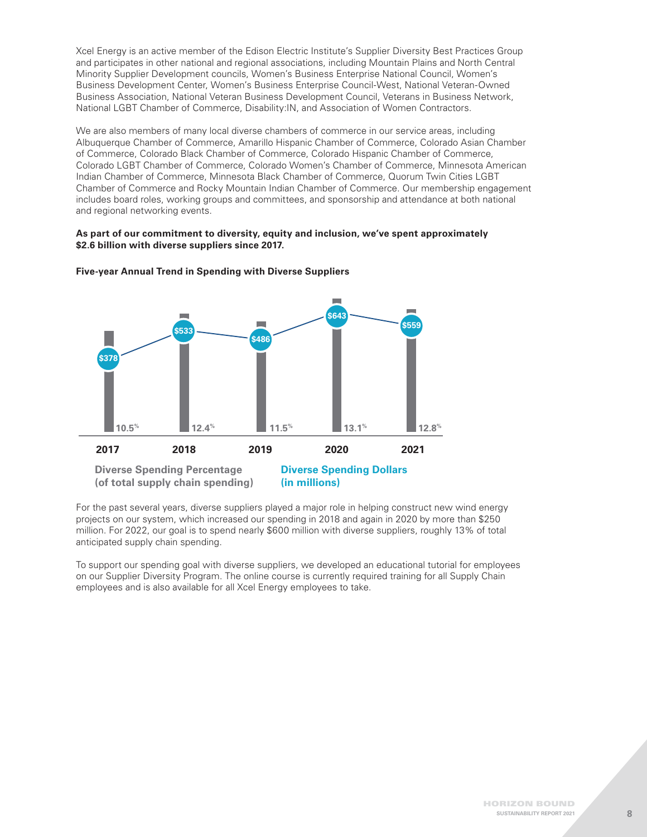Xcel Energy is an active member of the Edison Electric Institute's Supplier Diversity Best Practices Group and participates in other national and regional associations, including Mountain Plains and North Central Minority Supplier Development councils, Women's Business Enterprise National Council, Women's Business Development Center, Women's Business Enterprise Council-West, National Veteran-Owned Business Association, National Veteran Business Development Council, Veterans in Business Network, National LGBT Chamber of Commerce, Disability:IN, and Association of Women Contractors.

We are also members of many local diverse chambers of commerce in our service areas, including Albuquerque Chamber of Commerce, Amarillo Hispanic Chamber of Commerce, Colorado Asian Chamber of Commerce, Colorado Black Chamber of Commerce, Colorado Hispanic Chamber of Commerce, Colorado LGBT Chamber of Commerce, Colorado Women's Chamber of Commerce, Minnesota American Indian Chamber of Commerce, Minnesota Black Chamber of Commerce, Quorum Twin Cities LGBT Chamber of Commerce and Rocky Mountain Indian Chamber of Commerce. Our membership engagement includes board roles, working groups and committees, and sponsorship and attendance at both national and regional networking events.

#### **As part of our commitment to diversity, equity and inclusion, we've spent approximately \$2.6 billion with diverse suppliers since 2017.**



#### **Five-year Annual Trend in Spending with Diverse Suppliers**

For the past several years, diverse suppliers played a major role in helping construct new wind energy projects on our system, which increased our spending in 2018 and again in 2020 by more than \$250 million. For 2022, our goal is to spend nearly \$600 million with diverse suppliers, roughly 13% of total anticipated supply chain spending.

To support our spending goal with diverse suppliers, we developed an educational tutorial for employees on our Supplier Diversity Program. The online course is currently required training for all Supply Chain employees and is also available for all Xcel Energy employees to take.